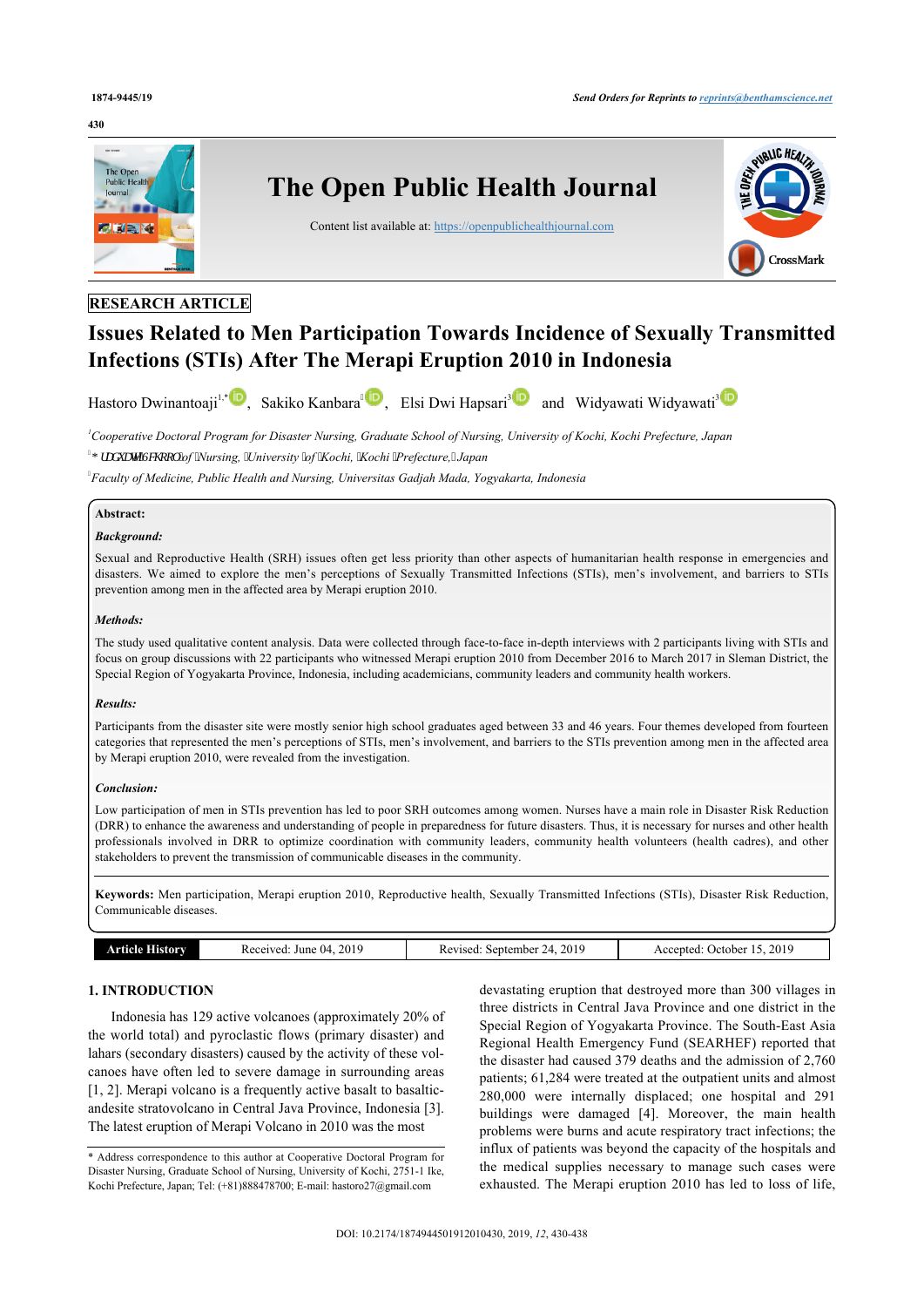#### **430**



# **RESEARCH ARTICLE**

# **Issues Related to Men Participation Towards Incidence of Sexually Transmitted Infections (STIs) After The Merapi Eruption 2010 in Indonesia**

Hastoro Dwinantoaji<sup>[1](#page-0-0)[,\\*](#page-0-1)</sup> D, Sakiko Kanbara<sup>4</sup> D, Elsi Dwi Hapsa[ri](#page-0-2)<sup>[3](#page-0-2)</sup> D and Widyawati Widyawati<sup>3</sup>

<span id="page-0-2"></span><span id="page-0-0"></span>*<sup>1</sup>Cooperative Doctoral Program for Disaster Nursing, Graduate School of Nursing, University of Kochi, Kochi Prefecture, Japan \*UDGXDWH6FKRRO of Nursing, University of Kochi, Kochi Prefecture, Japan*

<span id="page-0-3"></span>*Faculty of Medicine, Public Health and Nursing, Universitas Gadjah Mada, Yogyakarta, Indonesia*

#### **Abstract:**

### *Background:*

Sexual and Reproductive Health (SRH) issues often get less priority than other aspects of humanitarian health response in emergencies and disasters. We aimed to explore the men's perceptions of Sexually Transmitted Infections (STIs), men's involvement, and barriers to STIs prevention among men in the affected area by Merapi eruption 2010.

#### *Methods:*

The study used qualitative content analysis. Data were collected through face-to-face in-depth interviews with 2 participants living with STIs and focus on group discussions with 22 participants who witnessed Merapi eruption 2010 from December 2016 to March 2017 in Sleman District, the Special Region of Yogyakarta Province, Indonesia, including academicians, community leaders and community health workers.

#### *Results:*

Participants from the disaster site were mostly senior high school graduates aged between 33 and 46 years. Four themes developed from fourteen categories that represented the men's perceptions of STIs, men's involvement, and barriers to the STIs prevention among men in the affected area by Merapi eruption 2010, were revealed from the investigation.

#### *Conclusion:*

Low participation of men in STIs prevention has led to poor SRH outcomes among women. Nurses have a main role in Disaster Risk Reduction (DRR) to enhance the awareness and understanding of people in preparedness for future disasters. Thus, it is necessary for nurses and other health professionals involved in DRR to optimize coordination with community leaders, community health volunteers (health cadres), and other stakeholders to prevent the transmission of communicable diseases in the community.

**Keywords:** Men participation, Merapi eruption 2010, Reproductive health, Sexually Transmitted Infections (STIs), Disaster Risk Reduction, Communicable diseases.

| <b>Article History</b> | . 2019<br>June $04$ .<br>Received: | September 24, 2019<br>Revised: | 2019<br>Accepted: October 15 |
|------------------------|------------------------------------|--------------------------------|------------------------------|
|                        |                                    |                                |                              |

# **1. INTRODUCTION**

Indonesia has 129 active volcanoes (approximately 20% of the world total) and pyroclastic flows (primary disaster) and lahars (secondary disasters) caused by the activity of these volcanoes have often led to severe damage in surrounding areas [[1](#page-7-0), [2\]](#page-7-1). Merapi volcano is a frequently active basalt to basalticandesite stratovolcano in Central Java Province, Indonesia [\[3](#page-7-2)]. The latest eruption of Merapi Volcano in 2010 was the most

devastating eruption that destroyed more than 300 villages in three districts in Central Java Province and one district in the Special Region of Yogyakarta Province. The South-East Asia Regional Health Emergency Fund (SEARHEF) reported that the disaster had caused 379 deaths and the admission of 2,760 patients; 61,284 were treated at the outpatient units and almost 280,000 were internally displaced; one hospital and 291 buildings were damaged[[4](#page-7-3)]. Moreover, the main health problems were burns and acute respiratory tract infections; the influx of patients was beyond the capacity of the hospitals and the medical supplies necessary to manage such cases were exhausted. The Merapi eruption 2010 has led to loss of life,

<span id="page-0-1"></span><sup>\*</sup> Address correspondence to this author at Cooperative Doctoral Program for Disaster Nursing, Graduate School of Nursing, University of Kochi, 2751-1 Ike, Kochi Prefecture, Japan; Tel: (+81)888478700; E-mail: [hastoro27@gmail.com](mailto:hastoro27@gmail.com)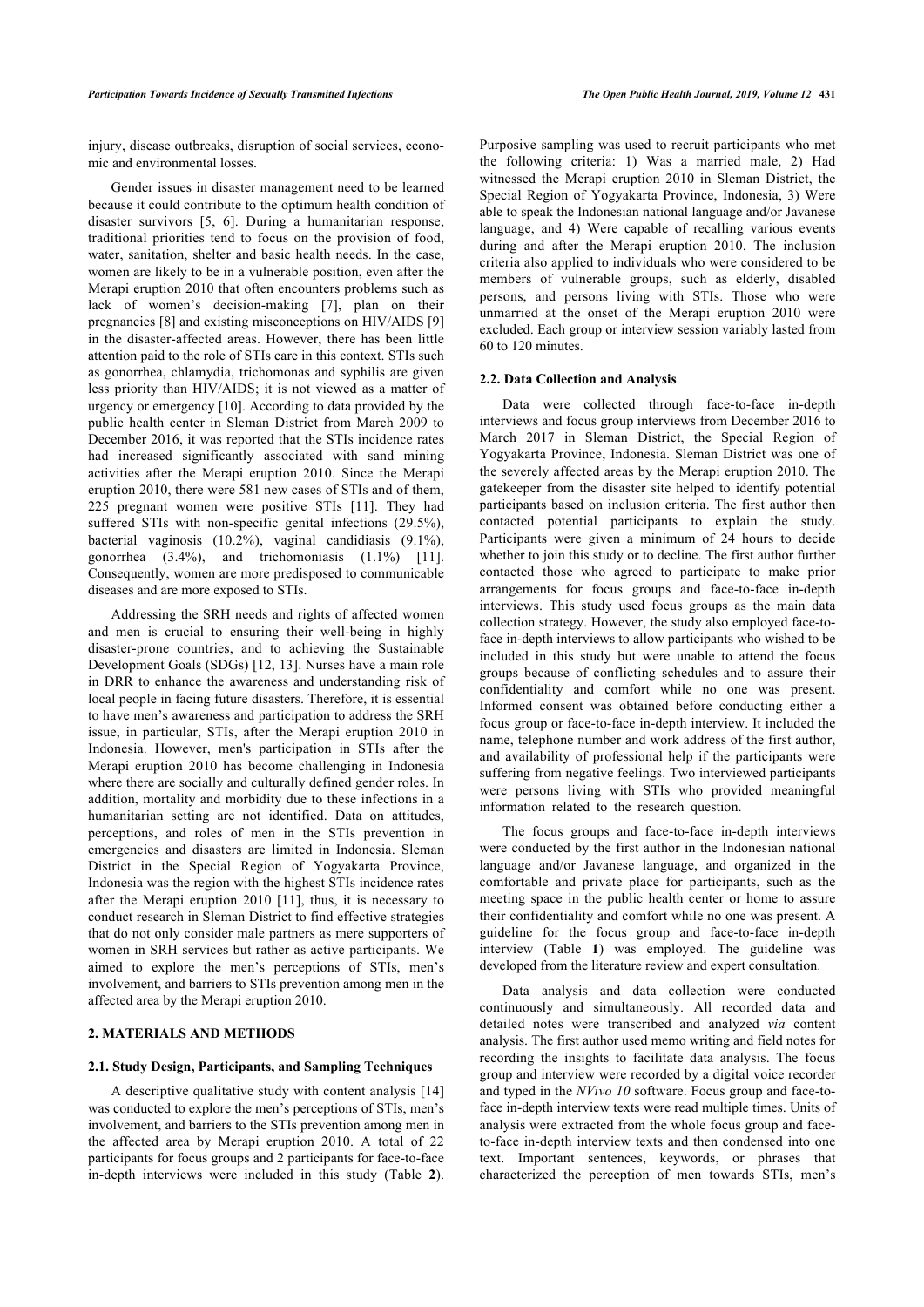injury, disease outbreaks, disruption of social services, economic and environmental losses.

Gender issues in disaster management need to be learned because it could contribute to the optimum health condition of disaster survivors[[5,](#page-7-4) [6](#page-7-5)]. During a humanitarian response, traditional priorities tend to focus on the provision of food, water, sanitation, shelter and basic health needs. In the case, women are likely to be in a vulnerable position, even after the Merapi eruption 2010 that often encounters problems such as lack of women's decision-making [\[7\]](#page-7-6), plan on their pregnancies [[8](#page-7-7)] and existing misconceptions on HIV/AIDS [[9](#page-7-8)] in the disaster-affected areas. However, there has been little attention paid to the role of STIs care in this context. STIs such as gonorrhea, chlamydia, trichomonas and syphilis are given less priority than HIV/AIDS; it is not viewed as a matter of urgency or emergency [[10](#page-7-9)]. According to data provided by the public health center in Sleman District from March 2009 to December 2016, it was reported that the STIs incidence rates had increased significantly associated with sand mining activities after the Merapi eruption 2010. Since the Merapi eruption 2010, there were 581 new cases of STIs and of them, 225 pregnant women were positive STIs[[11](#page-7-10)]. They had suffered STIs with non-specific genital infections (29.5%), bacterial vaginosis (10.2%), vaginal candidiasis (9.1%), gonorrhea (3.4%), and trichomoniasis (1.1%)[[11\]](#page-7-10). Consequently, women are more predisposed to communicable diseases and are more exposed to STIs.

Addressing the SRH needs and rights of affected women and men is crucial to ensuring their well-being in highly disaster-prone countries, and to achieving the Sustainable Development Goals (SDGs) [[12](#page-7-11), [13](#page-7-12)]. Nurses have a main role in DRR to enhance the awareness and understanding risk of local people in facing future disasters. Therefore, it is essential to have men's awareness and participation to address the SRH issue, in particular, STIs, after the Merapi eruption 2010 in Indonesia. However, men's participation in STIs after the Merapi eruption 2010 has become challenging in Indonesia where there are socially and culturally defined gender roles. In addition, mortality and morbidity due to these infections in a humanitarian setting are not identified. Data on attitudes, perceptions, and roles of men in the STIs prevention in emergencies and disasters are limited in Indonesia. Sleman District in the Special Region of Yogyakarta Province, Indonesia was the region with the highest STIs incidence rates after the Merapi eruption 2010[[11\]](#page-7-10), thus, it is necessary to conduct research in Sleman District to find effective strategies that do not only consider male partners as mere supporters of women in SRH services but rather as active participants. We aimed to explore the men's perceptions of STIs, men's involvement, and barriers to STIs prevention among men in the affected area by the Merapi eruption 2010.

#### **2. MATERIALS AND METHODS**

#### **2.1. Study Design, Participants, and Sampling Techniques**

A descriptive qualitative study with content analysis [[14](#page-7-13)] was conducted to explore the men's perceptions of STIs, men's involvement, and barriers to the STIs prevention among men in the affected area by Merapi eruption 2010. A total of 22 participants for focus groups and 2 participants for face-to-face in-depth interviews were included in this study (Table**2**).

Purposive sampling was used to recruit participants who met the following criteria: 1) Was a married male, 2) Had witnessed the Merapi eruption 2010 in Sleman District, the Special Region of Yogyakarta Province, Indonesia, 3) Were able to speak the Indonesian national language and/or Javanese language, and 4) Were capable of recalling various events during and after the Merapi eruption 2010. The inclusion criteria also applied to individuals who were considered to be members of vulnerable groups, such as elderly, disabled persons, and persons living with STIs. Those who were unmarried at the onset of the Merapi eruption 2010 were excluded. Each group or interview session variably lasted from 60 to 120 minutes.

#### **2.2. Data Collection and Analysis**

Data were collected through face-to-face in-depth interviews and focus group interviews from December 2016 to March 2017 in Sleman District, the Special Region of Yogyakarta Province, Indonesia. Sleman District was one of the severely affected areas by the Merapi eruption 2010. The gatekeeper from the disaster site helped to identify potential participants based on inclusion criteria. The first author then contacted potential participants to explain the study. Participants were given a minimum of 24 hours to decide whether to join this study or to decline. The first author further contacted those who agreed to participate to make prior arrangements for focus groups and face-to-face in-depth interviews. This study used focus groups as the main data collection strategy. However, the study also employed face-toface in-depth interviews to allow participants who wished to be included in this study but were unable to attend the focus groups because of conflicting schedules and to assure their confidentiality and comfort while no one was present. Informed consent was obtained before conducting either a focus group or face-to-face in-depth interview. It included the name, telephone number and work address of the first author, and availability of professional help if the participants were suffering from negative feelings. Two interviewed participants were persons living with STIs who provided meaningful information related to the research question.

The focus groups and face-to-face in-depth interviews were conducted by the first author in the Indonesian national language and/or Javanese language, and organized in the comfortable and private place for participants, such as the meeting space in the public health center or home to assure their confidentiality and comfort while no one was present. A guideline for the focus group and face-to-face in-depth interview (Table**1**) was employed. The guideline was developed from the literature review and expert consultation.

Data analysis and data collection were conducted continuously and simultaneously. All recorded data and detailed notes were transcribed and analyzed *via* content analysis. The first author used memo writing and field notes for recording the insights to facilitate data analysis. The focus group and interview were recorded by a digital voice recorder and typed in the *NVivo 10* software. Focus group and face-toface in-depth interview texts were read multiple times. Units of analysis were extracted from the whole focus group and faceto-face in-depth interview texts and then condensed into one text. Important sentences, keywords, or phrases that characterized the perception of men towards STIs, men's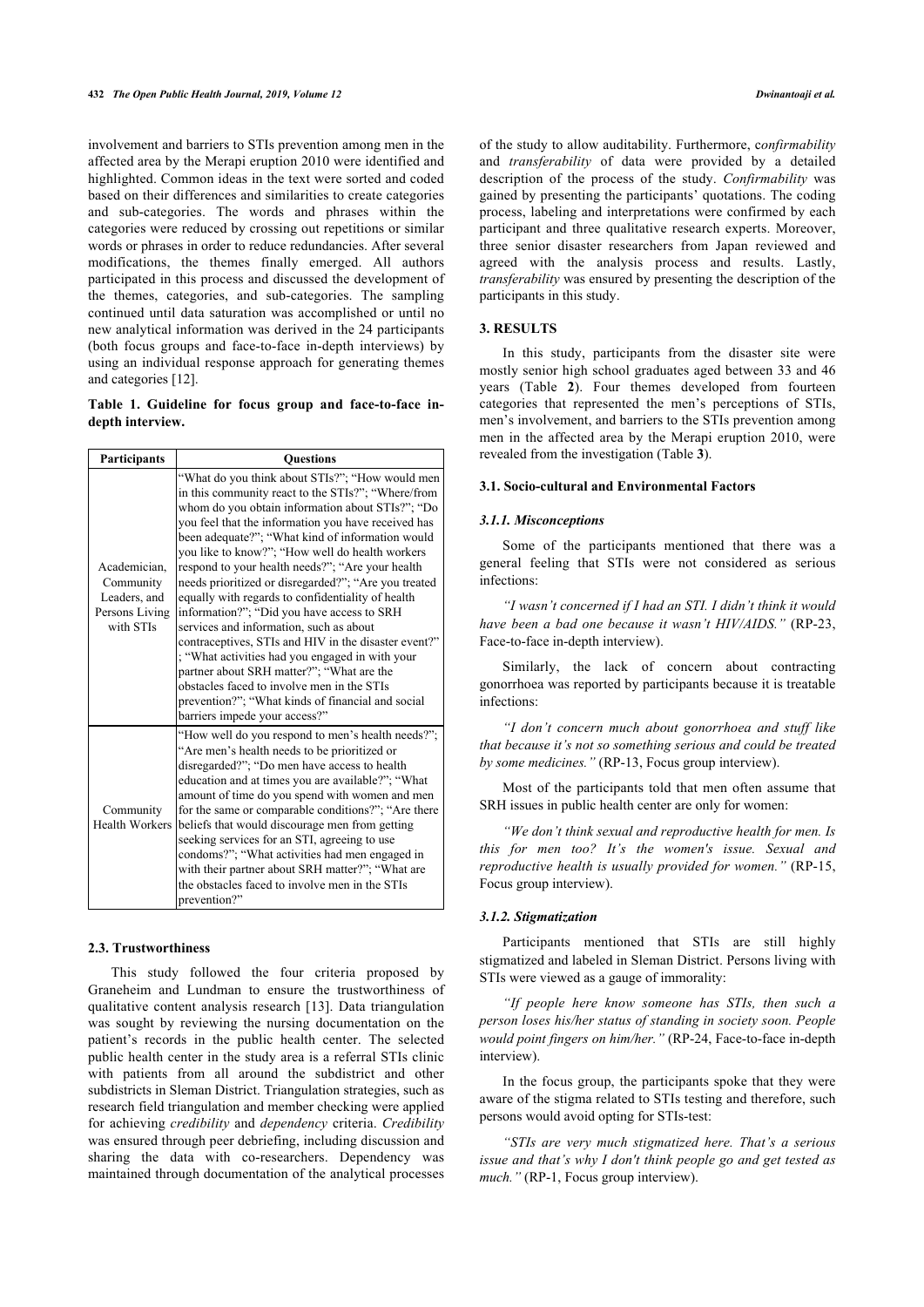involvement and barriers to STIs prevention among men in the affected area by the Merapi eruption 2010 were identified and highlighted. Common ideas in the text were sorted and coded based on their differences and similarities to create categories and sub-categories. The words and phrases within the categories were reduced by crossing out repetitions or similar words or phrases in order to reduce redundancies. After several modifications, the themes finally emerged. All authors participated in this process and discussed the development of the themes, categories, and sub-categories. The sampling continued until data saturation was accomplished or until no new analytical information was derived in the 24 participants (both focus groups and face-to-face in-depth interviews) by using an individual response approach for generating themes and categories [[12\]](#page-7-11).

<span id="page-2-0"></span>**Table 1. Guideline for focus group and face-to-face indepth interview.**

| <b>Participants</b>                                                      | <b>Ouestions</b>                                                                                                                                                                                                                                                                                                                                                                                                                                                                                                                                                                                                                                                                                                                                                                                                                                                              |  |
|--------------------------------------------------------------------------|-------------------------------------------------------------------------------------------------------------------------------------------------------------------------------------------------------------------------------------------------------------------------------------------------------------------------------------------------------------------------------------------------------------------------------------------------------------------------------------------------------------------------------------------------------------------------------------------------------------------------------------------------------------------------------------------------------------------------------------------------------------------------------------------------------------------------------------------------------------------------------|--|
| Academician,<br>Community<br>Leaders, and<br>Persons Living<br>with STIs | "What do you think about STIs?"; "How would men<br>in this community react to the STIs?"; "Where/from<br>whom do you obtain information about STIs?"; "Do<br>you feel that the information you have received has<br>been adequate?"; "What kind of information would<br>you like to know?"; "How well do health workers<br>respond to your health needs?"; "Are your health<br>needs prioritized or disregarded?"; "Are you treated<br>equally with regards to confidentiality of health<br>information?"; "Did you have access to SRH<br>services and information, such as about<br>contraceptives, STIs and HIV in the disaster event?"<br>; "What activities had you engaged in with your<br>partner about SRH matter?"; "What are the<br>obstacles faced to involve men in the STIs<br>prevention?"; "What kinds of financial and social<br>barriers impede your access?" |  |
| Community<br><b>Health Workers</b>                                       | "How well do you respond to men's health needs?";<br>"Are men's health needs to be prioritized or<br>disregarded?"; "Do men have access to health<br>education and at times you are available?"; "What<br>amount of time do you spend with women and men<br>for the same or comparable conditions?"; "Are there<br>beliefs that would discourage men from getting<br>seeking services for an STI, agreeing to use<br>condoms?"; "What activities had men engaged in<br>with their partner about SRH matter?": "What are<br>the obstacles faced to involve men in the STIs<br>prevention?"                                                                                                                                                                                                                                                                                     |  |

#### **2.3. Trustworthiness**

This study followed the four criteria proposed by Graneheim and Lundman to ensure the trustworthiness of qualitative content analysis research [\[13](#page-7-12)]. Data triangulation was sought by reviewing the nursing documentation on the patient's records in the public health center. The selected public health center in the study area is a referral STIs clinic with patients from all around the subdistrict and other subdistricts in Sleman District. Triangulation strategies, such as research field triangulation and member checking were applied for achieving *credibility* and *dependency* criteria. *Credibility* was ensured through peer debriefing, including discussion and sharing the data with co-researchers. Dependency was maintained through documentation of the analytical processes of the study to allow auditability. Furthermore, c*onfirmability* and *transferability* of data were provided by a detailed description of the process of the study. *Confirmability* was gained by presenting the participants' quotations. The coding process, labeling and interpretations were confirmed by each participant and three qualitative research experts. Moreover, three senior disaster researchers from Japan reviewed and agreed with the analysis process and results. Lastly, *transferability* was ensured by presenting the description of the participants in this study.

#### **3. RESULTS**

In this study, participants from the disaster site were mostly senior high school graduates aged between 33 and 46 years (Table**2**). Four themes developed from fourteen categories that represented the men's perceptions of STIs, men's involvement, and barriers to the STIs prevention among men in the affected area by the Merapi eruption 2010, were revealed from the investigation (Table **[3](#page-3-1)**).

#### **3.1. Socio-cultural and Environmental Factors**

#### *3.1.1. Misconceptions*

Some of the participants mentioned that there was a general feeling that STIs were not considered as serious infections:

*"I wasn't concerned if I had an STI. I didn't think it would have been a bad one because it wasn't HIV/AIDS."* (RP-23, Face-to-face in-depth interview).

Similarly, the lack of concern about contracting gonorrhoea was reported by participants because it is treatable infections:

*"I don't concern much about gonorrhoea and stuff like that because it's not so something serious and could be treated by some medicines."* (RP-13, Focus group interview).

Most of the participants told that men often assume that SRH issues in public health center are only for women:

*"We don't think sexual and reproductive health for men. Is this for men too? It's the women's issue. Sexual and reproductive health is usually provided for women."* (RP-15, Focus group interview).

#### *3.1.2. Stigmatization*

Participants mentioned that STIs are still highly stigmatized and labeled in Sleman District. Persons living with STIs were viewed as a gauge of immorality:

*"If people here know someone has STIs, then such a person loses his/her status of standing in society soon. People would point fingers on him/her."* (RP-24, Face-to-face in-depth interview).

In the focus group, the participants spoke that they were aware of the stigma related to STIs testing and therefore, such persons would avoid opting for STIs-test:

*"STIs are very much stigmatized here. That's a serious issue and that's why I don't think people go and get tested as much."* (RP-1, Focus group interview).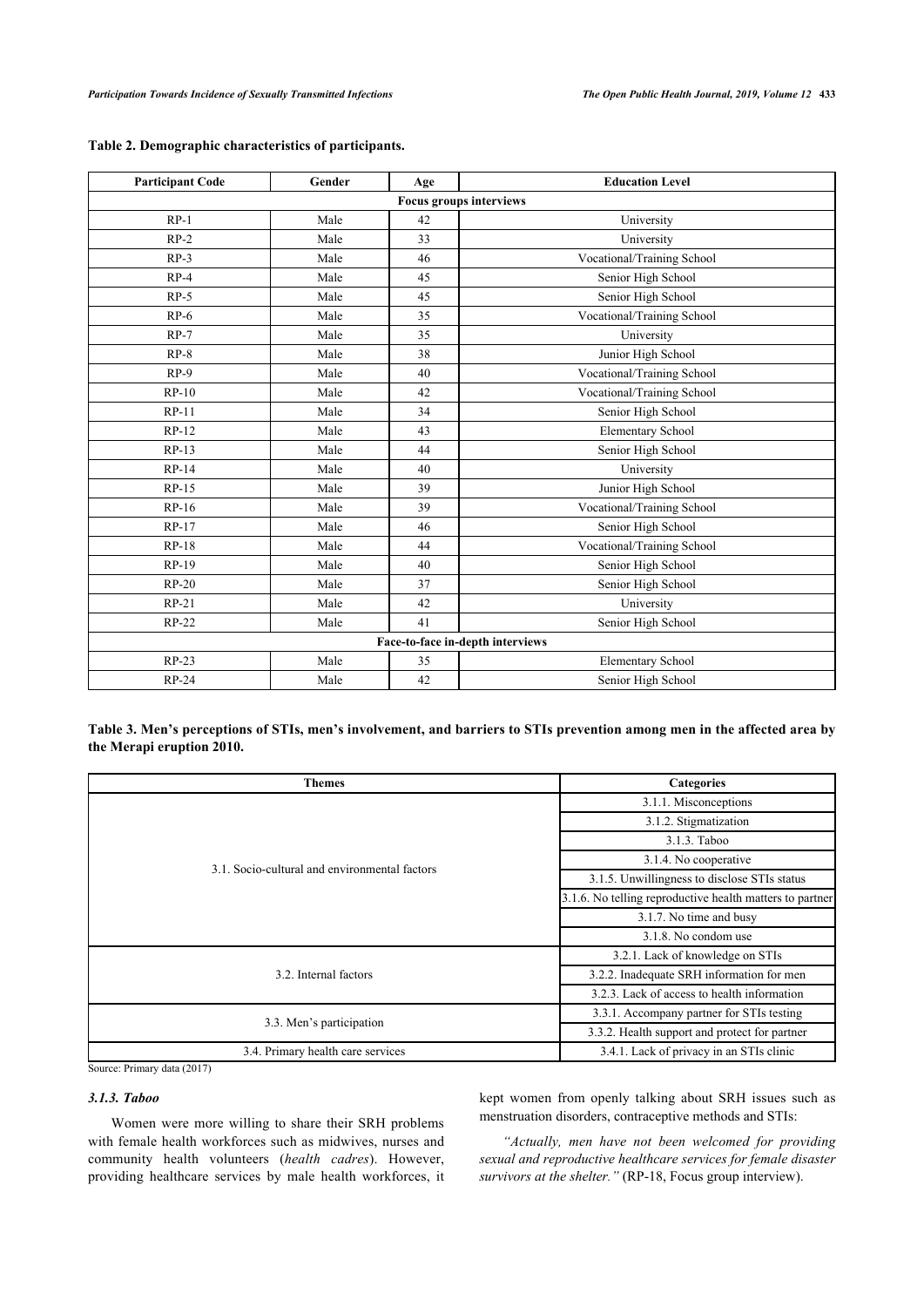| <b>Participant Code</b>          | Gender | Age | <b>Education Level</b>     |  |  |
|----------------------------------|--------|-----|----------------------------|--|--|
| <b>Focus groups interviews</b>   |        |     |                            |  |  |
| $RP-1$                           | Male   | 42  | University                 |  |  |
| $RP-2$                           | Male   | 33  | University                 |  |  |
| $RP-3$                           | Male   | 46  | Vocational/Training School |  |  |
| $RP-4$                           | Male   | 45  | Senior High School         |  |  |
| $RP-5$                           | Male   | 45  | Senior High School         |  |  |
| $RP-6$                           | Male   | 35  | Vocational/Training School |  |  |
| $RP-7$                           | Male   | 35  | University                 |  |  |
| $RP-8$                           | Male   | 38  | Junior High School         |  |  |
| $RP-9$                           | Male   | 40  | Vocational/Training School |  |  |
| $RP-10$                          | Male   | 42  | Vocational/Training School |  |  |
| $RP-11$                          | Male   | 34  | Senior High School         |  |  |
| $RP-12$                          | Male   | 43  | Elementary School          |  |  |
| $RP-13$                          | Male   | 44  | Senior High School         |  |  |
| RP-14                            | Male   | 40  | University                 |  |  |
| $RP-15$                          | Male   | 39  | Junior High School         |  |  |
| $RP-16$                          | Male   | 39  | Vocational/Training School |  |  |
| RP-17                            | Male   | 46  | Senior High School         |  |  |
| $RP-18$                          | Male   | 44  | Vocational/Training School |  |  |
| RP-19                            | Male   | 40  | Senior High School         |  |  |
| $RP-20$                          | Male   | 37  | Senior High School         |  |  |
| $RP-21$                          | Male   | 42  | University                 |  |  |
| RP-22                            | Male   | 41  | Senior High School         |  |  |
| Face-to-face in-depth interviews |        |     |                            |  |  |
| $RP-23$                          | Male   | 35  | Elementary School          |  |  |
| RP-24                            | Male   | 42  | Senior High School         |  |  |

# <span id="page-3-0"></span>**Table 2. Demographic characteristics of participants.**

<span id="page-3-1"></span>**Table 3. Men's perceptions of STIs, men's involvement, and barriers to STIs prevention among men in the affected area by the Merapi eruption 2010.**

| <b>Themes</b>                                 | <b>Categories</b>                                        |  |
|-----------------------------------------------|----------------------------------------------------------|--|
|                                               | 3.1.1. Misconceptions                                    |  |
|                                               | 3.1.2. Stigmatization                                    |  |
|                                               | 3.1.3. Taboo                                             |  |
| 3.1. Socio-cultural and environmental factors | 3.1.4. No cooperative                                    |  |
|                                               | 3.1.5. Unwillingness to disclose STIs status             |  |
|                                               | 3.1.6. No telling reproductive health matters to partner |  |
|                                               | 3.1.7. No time and busy                                  |  |
|                                               | 3.1.8. No condom use                                     |  |
|                                               | 3.2.1. Lack of knowledge on STIs                         |  |
| 3.2. Internal factors                         | 3.2.2. Inadequate SRH information for men                |  |
|                                               | 3.2.3. Lack of access to health information              |  |
| 3.3. Men's participation                      | 3.3.1. Accompany partner for STIs testing                |  |
|                                               | 3.3.2. Health support and protect for partner            |  |
| 3.4. Primary health care services             | 3.4.1. Lack of privacy in an STIs clinic                 |  |

Source: Primary data (2017)

# *3.1.3. Taboo*

Women were more willing to share their SRH problems with female health workforces such as midwives, nurses and community health volunteers (*health cadres*). However, providing healthcare services by male health workforces, it kept women from openly talking about SRH issues such as menstruation disorders, contraceptive methods and STIs:

*"Actually, men have not been welcomed for providing sexual and reproductive healthcare services for female disaster survivors at the shelter."* (RP-18, Focus group interview).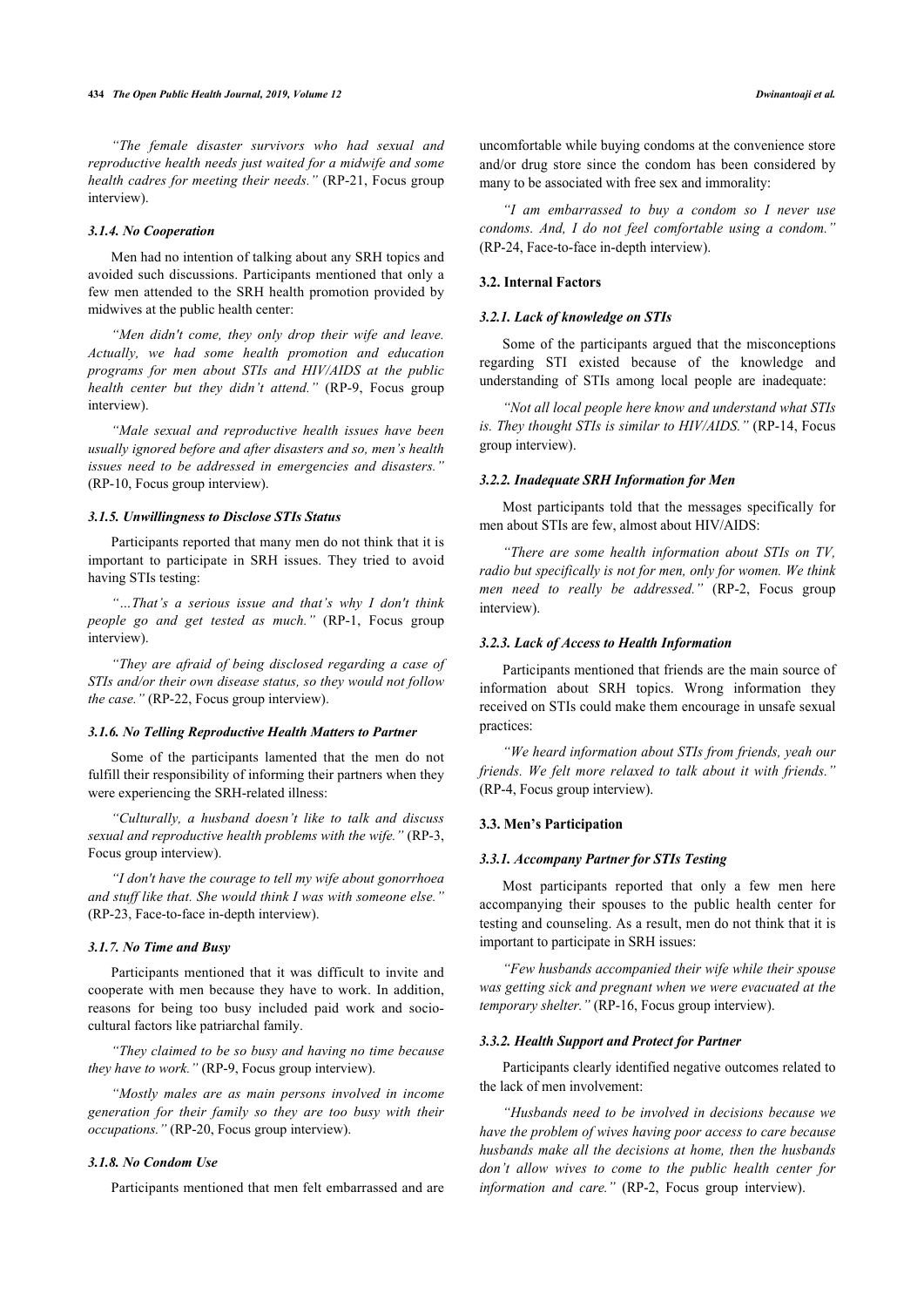*"The female disaster survivors who had sexual and reproductive health needs just waited for a midwife and some health cadres for meeting their needs."* (RP-21, Focus group interview).

#### *3.1.4. No Cooperation*

Men had no intention of talking about any SRH topics and avoided such discussions. Participants mentioned that only a few men attended to the SRH health promotion provided by midwives at the public health center:

*"Men didn't come, they only drop their wife and leave. Actually, we had some health promotion and education programs for men about STIs and HIV/AIDS at the public health center but they didn't attend."* (RP-9, Focus group interview).

*"Male sexual and reproductive health issues have been usually ignored before and after disasters and so, men's health issues need to be addressed in emergencies and disasters."* (RP-10, Focus group interview).

#### *3.1.5. Unwillingness to Disclose STIs Status*

Participants reported that many men do not think that it is important to participate in SRH issues. They tried to avoid having STIs testing:

*"…That's a serious issue and that's why I don't think people go and get tested as much."* (RP-1, Focus group interview).

*"They are afraid of being disclosed regarding a case of STIs and/or their own disease status, so they would not follow the case."* (RP-22, Focus group interview).

#### *3.1.6. No Telling Reproductive Health Matters to Partner*

Some of the participants lamented that the men do not fulfill their responsibility of informing their partners when they were experiencing the SRH-related illness:

*"Culturally, a husband doesn't like to talk and discuss sexual and reproductive health problems with the wife."* (RP-3, Focus group interview).

*"I don't have the courage to tell my wife about gonorrhoea and stuff like that. She would think I was with someone else."* (RP-23, Face-to-face in-depth interview).

#### *3.1.7. No Time and Busy*

Participants mentioned that it was difficult to invite and cooperate with men because they have to work. In addition, reasons for being too busy included paid work and sociocultural factors like patriarchal family.

*"They claimed to be so busy and having no time because they have to work."* (RP-9, Focus group interview).

*"Mostly males are as main persons involved in income generation for their family so they are too busy with their occupations."* (RP-20, Focus group interview).

### *3.1.8. No Condom Use*

Participants mentioned that men felt embarrassed and are

uncomfortable while buying condoms at the convenience store and/or drug store since the condom has been considered by many to be associated with free sex and immorality:

*"I am embarrassed to buy a condom so I never use condoms. And, I do not feel comfortable using a condom."* (RP-24, Face-to-face in-depth interview).

#### **3.2. Internal Factors**

#### *3.2.1. Lack of knowledge on STIs*

Some of the participants argued that the misconceptions regarding STI existed because of the knowledge and understanding of STIs among local people are inadequate:

*"Not all local people here know and understand what STIs is. They thought STIs is similar to HIV/AIDS."* (RP-14, Focus group interview).

#### *3.2.2. Inadequate SRH Information for Men*

Most participants told that the messages specifically for men about STIs are few, almost about HIV/AIDS:

*"There are some health information about STIs on TV, radio but specifically is not for men, only for women. We think men need to really be addressed."* (RP-2, Focus group interview).

#### *3.2.3. Lack of Access to Health Information*

Participants mentioned that friends are the main source of information about SRH topics. Wrong information they received on STIs could make them encourage in unsafe sexual practices:

*"We heard information about STIs from friends, yeah our friends. We felt more relaxed to talk about it with friends."* (RP-4, Focus group interview).

#### **3.3. Men's Participation**

#### *3.3.1. Accompany Partner for STIs Testing*

Most participants reported that only a few men here accompanying their spouses to the public health center for testing and counseling. As a result, men do not think that it is important to participate in SRH issues:

*"Few husbands accompanied their wife while their spouse was getting sick and pregnant when we were evacuated at the temporary shelter."* (RP-16, Focus group interview).

#### *3.3.2. Health Support and Protect for Partner*

Participants clearly identified negative outcomes related to the lack of men involvement:

*"Husbands need to be involved in decisions because we have the problem of wives having poor access to care because husbands make all the decisions at home, then the husbands don't allow wives to come to the public health center for information and care."* (RP-2, Focus group interview).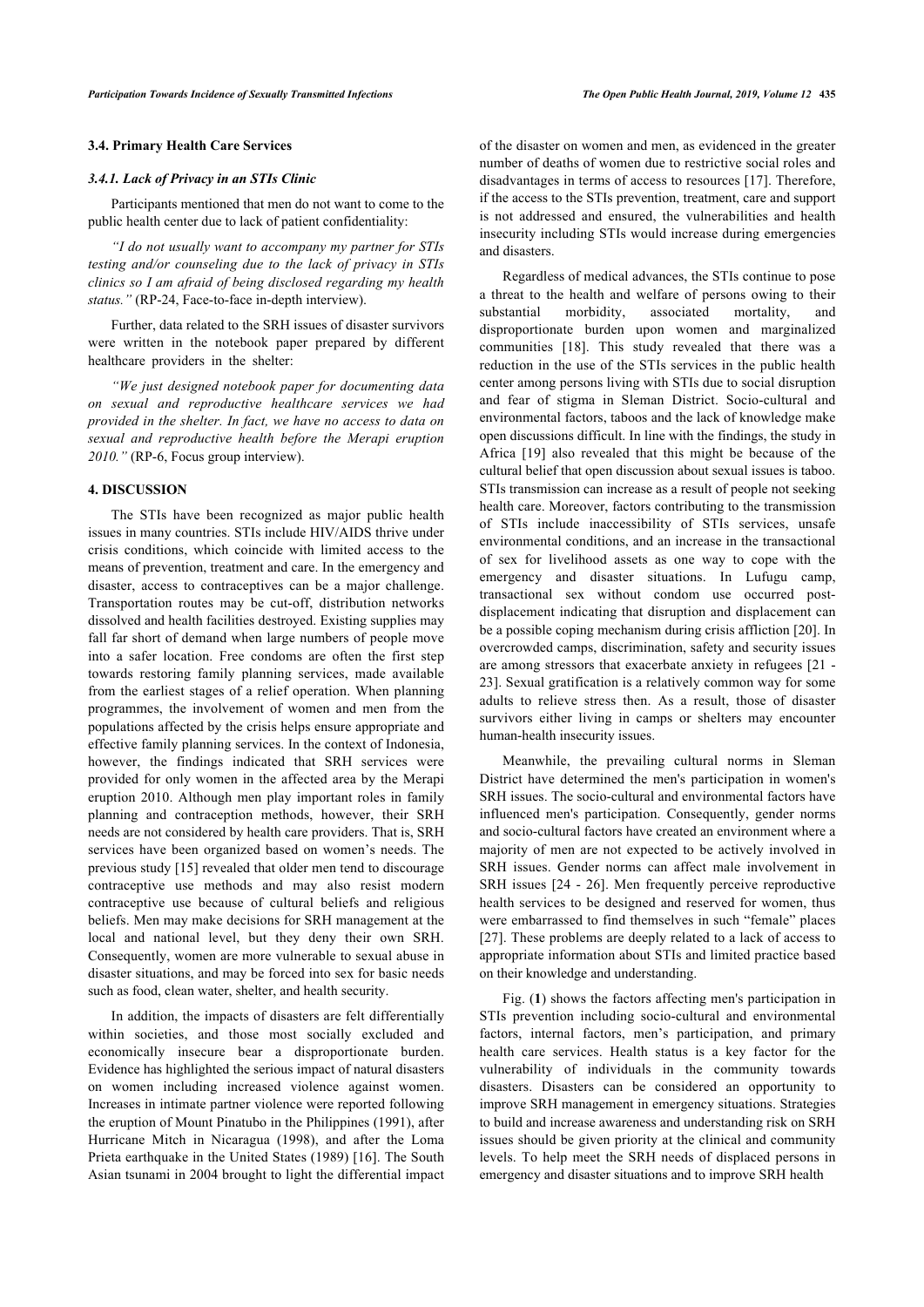#### **3.4. Primary Health Care Services**

#### *3.4.1. Lack of Privacy in an STIs Clinic*

Participants mentioned that men do not want to come to the public health center due to lack of patient confidentiality:

*"I do not usually want to accompany my partner for STIs testing and/or counseling due to the lack of privacy in STIs clinics so I am afraid of being disclosed regarding my health status."* (RP-24, Face-to-face in-depth interview).

Further, data related to the SRH issues of disaster survivors were written in the notebook paper prepared by different healthcare providers in the shelter:

*"We just designed notebook paper for documenting data on sexual and reproductive healthcare services we had provided in the shelter. In fact, we have no access to data on sexual and reproductive health before the Merapi eruption 2010."* (RP-6, Focus group interview).

#### **4. DISCUSSION**

The STIs have been recognized as major public health issues in many countries. STIs include HIV/AIDS thrive under crisis conditions, which coincide with limited access to the means of prevention, treatment and care. In the emergency and disaster, access to contraceptives can be a major challenge. Transportation routes may be cut-off, distribution networks dissolved and health facilities destroyed. Existing supplies may fall far short of demand when large numbers of people move into a safer location. Free condoms are often the first step towards restoring family planning services, made available from the earliest stages of a relief operation. When planning programmes, the involvement of women and men from the populations affected by the crisis helps ensure appropriate and effective family planning services. In the context of Indonesia, however, the findings indicated that SRH services were provided for only women in the affected area by the Merapi eruption 2010. Although men play important roles in family planning and contraception methods, however, their SRH needs are not considered by health care providers. That is, SRH services have been organized based on women's needs. The previous study [[15\]](#page-7-14) revealed that older men tend to discourage contraceptive use methods and may also resist modern contraceptive use because of cultural beliefs and religious beliefs. Men may make decisions for SRH management at the local and national level, but they deny their own SRH. Consequently, women are more vulnerable to sexual abuse in disaster situations, and may be forced into sex for basic needs such as food, clean water, shelter, and health security.

In addition, the impacts of disasters are felt differentially within societies, and those most socially excluded and economically insecure bear a disproportionate burden. Evidence has highlighted the serious impact of natural disasters on women including increased violence against women. Increases in intimate partner violence were reported following the eruption of Mount Pinatubo in the Philippines (1991), after Hurricane Mitch in Nicaragua (1998), and after the Loma Prieta earthquake in the United States (1989) [[16\]](#page-7-15). The South Asian tsunami in 2004 brought to light the differential impact of the disaster on women and men, as evidenced in the greater number of deaths of women due to restrictive social roles and disadvantages in terms of access to resources [[17](#page-7-16)]. Therefore, if the access to the STIs prevention, treatment, care and support is not addressed and ensured, the vulnerabilities and health insecurity including STIs would increase during emergencies and disasters.

Regardless of medical advances, the STIs continue to pose a threat to the health and welfare of persons owing to their substantial morbidity, associated mortality, and disproportionate burden upon women and marginalized communities [\[18\]](#page-7-17). This study revealed that there was a reduction in the use of the STIs services in the public health center among persons living with STIs due to social disruption and fear of stigma in Sleman District. Socio-cultural and environmental factors, taboos and the lack of knowledge make open discussions difficult. In line with the findings, the study in Africa[[19\]](#page-7-18) also revealed that this might be because of the cultural belief that open discussion about sexual issues is taboo. STIs transmission can increase as a result of people not seeking health care. Moreover, factors contributing to the transmission of STIs include inaccessibility of STIs services, unsafe environmental conditions, and an increase in the transactional of sex for livelihood assets as one way to cope with the emergency and disaster situations. In Lufugu camp, transactional sex without condom use occurred postdisplacement indicating that disruption and displacement can be a possible coping mechanism during crisis affliction [\[20](#page-7-19)]. In overcrowded camps, discrimination, safety and security issues are among stressors that exacerbate anxiety in refugees [\[21](#page-8-0) - [23](#page-8-1)]. Sexual gratification is a relatively common way for some adults to relieve stress then. As a result, those of disaster survivors either living in camps or shelters may encounter human-health insecurity issues.

Meanwhile, the prevailing cultural norms in Sleman District have determined the men's participation in women's SRH issues. The socio-cultural and environmental factors have influenced men's participation. Consequently, gender norms and socio-cultural factors have created an environment where a majority of men are not expected to be actively involved in SRH issues. Gender norms can affect male involvement in SRH issues [[24](#page-8-2) - [26\]](#page-8-3). Men frequently perceive reproductive health services to be designed and reserved for women, thus were embarrassed to find themselves in such "female" places [[27](#page-8-4)]. These problems are deeply related to a lack of access to appropriate information about STIs and limited practice based on their knowledge and understanding.

Fig. (**[1](#page-6-0)**) shows the factors affecting men's participation in STIs prevention including socio-cultural and environmental factors, internal factors, men's participation, and primary health care services. Health status is a key factor for the vulnerability of individuals in the community towards disasters. Disasters can be considered an opportunity to improve SRH management in emergency situations. Strategies to build and increase awareness and understanding risk on SRH issues should be given priority at the clinical and community levels. To help meet the SRH needs of displaced persons in emergency and disaster situations and to improve SRH health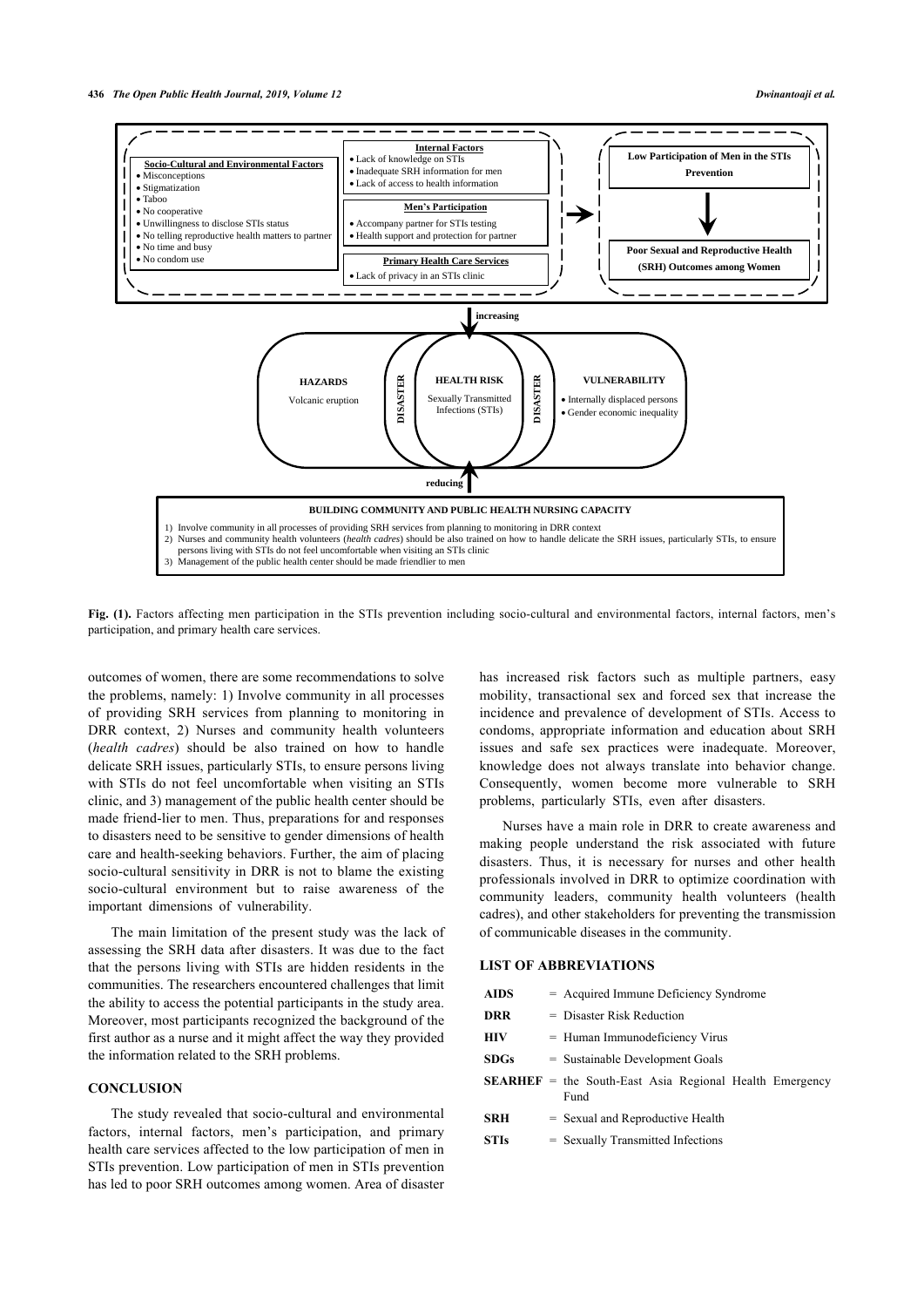<span id="page-6-0"></span>

Fig. (1). Factors affecting men participation in the STIs prevention including socio-cultural and environmental factors, internal factors, men's participation, and primary health care services.

outcomes of women, there are some recommendations to solve the problems, namely: 1) Involve community in all processes of providing SRH services from planning to monitoring in DRR context, 2) Nurses and community health volunteers (*health cadres*) should be also trained on how to handle delicate SRH issues, particularly STIs, to ensure persons living with STIs do not feel uncomfortable when visiting an STIs clinic, and 3) management of the public health center should be made friend-lier to men. Thus, preparations for and responses to disasters need to be sensitive to gender dimensions of health care and health-seeking behaviors. Further, the aim of placing socio-cultural sensitivity in DRR is not to blame the existing socio-cultural environment but to raise awareness of the important dimensions of vulnerability.

The main limitation of the present study was the lack of assessing the SRH data after disasters. It was due to the fact that the persons living with STIs are hidden residents in the communities. The researchers encountered challenges that limit the ability to access the potential participants in the study area. Moreover, most participants recognized the background of the first author as a nurse and it might affect the way they provided the information related to the SRH problems.

#### **CONCLUSION**

The study revealed that socio-cultural and environmental factors, internal factors, men's participation, and primary health care services affected to the low participation of men in STIs prevention. Low participation of men in STIs prevention has led to poor SRH outcomes among women. Area of disaster

has increased risk factors such as multiple partners, easy mobility, transactional sex and forced sex that increase the incidence and prevalence of development of STIs. Access to condoms, appropriate information and education about SRH issues and safe sex practices were inadequate. Moreover, knowledge does not always translate into behavior change. Consequently, women become more vulnerable to SRH problems, particularly STIs, even after disasters.

Nurses have a main role in DRR to create awareness and making people understand the risk associated with future disasters. Thus, it is necessary for nurses and other health professionals involved in DRR to optimize coordination with community leaders, community health volunteers (health cadres), and other stakeholders for preventing the transmission of communicable diseases in the community.

#### **LIST OF ABBREVIATIONS**

| AIDS        | $=$ Acquired Immune Deficiency Syndrome                                |  |  |  |
|-------------|------------------------------------------------------------------------|--|--|--|
| DRR         | $=$ Disaster Risk Reduction                                            |  |  |  |
| HIV         | $=$ Human Immunodeficiency Virus                                       |  |  |  |
| SDGs        | $=$ Sustainable Development Goals                                      |  |  |  |
|             | <b>SEARHEF</b> = the South-East Asia Regional Health Emergency<br>Fund |  |  |  |
| SRH         | $=$ Sexual and Reproductive Health                                     |  |  |  |
| <b>STIs</b> | = Sexually Transmitted Infections                                      |  |  |  |
|             |                                                                        |  |  |  |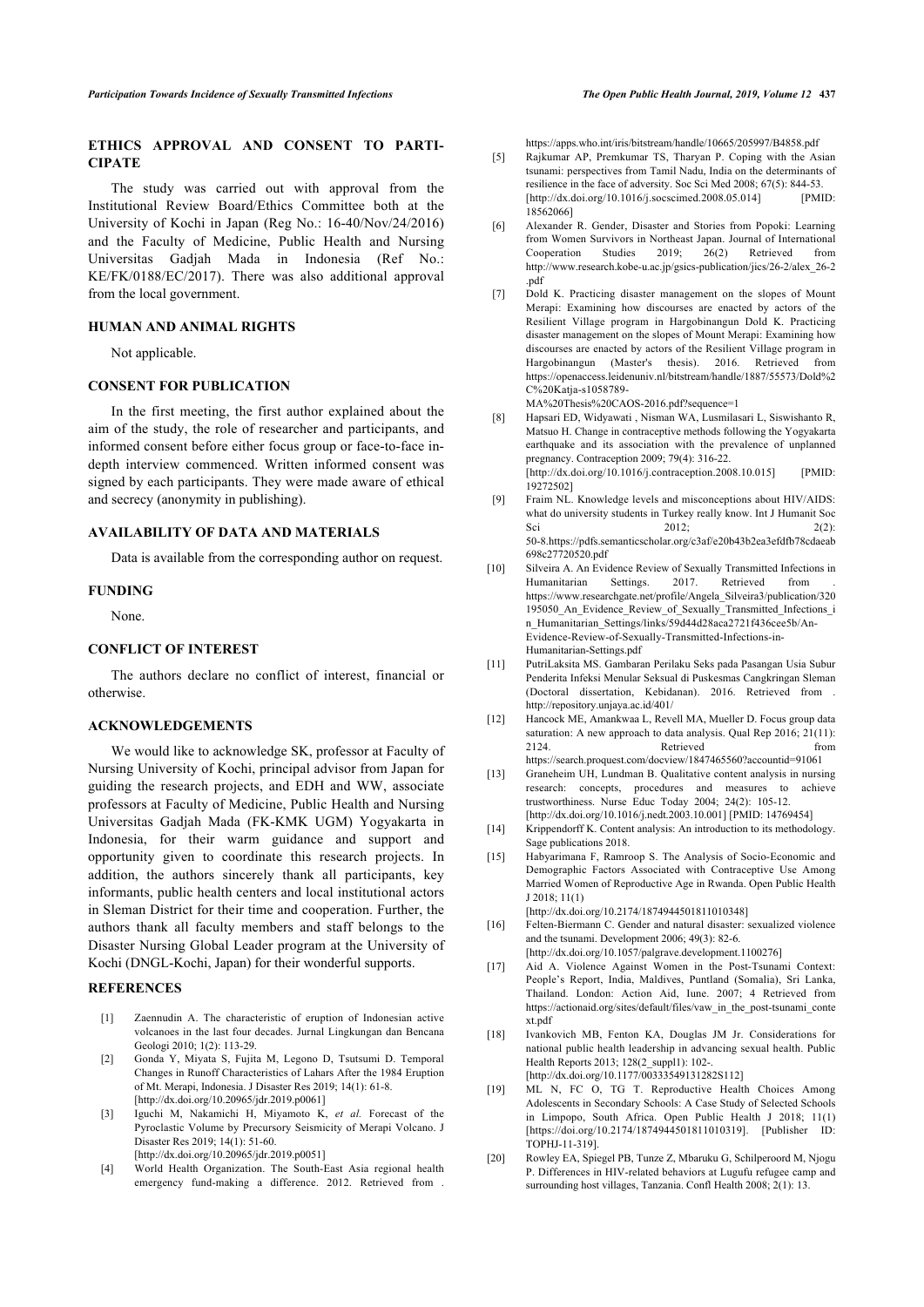# <span id="page-7-4"></span>**ETHICS APPROVAL AND CONSENT TO PARTI-CIPATE**

<span id="page-7-5"></span>The study was carried out with approval from the Institutional Review Board/Ethics Committee both at the University of Kochi in Japan (Reg No.: 16-40/Nov/24/2016) and the Faculty of Medicine, Public Health and Nursing Universitas Gadjah Mada in Indonesia (Ref No.: KE/FK/0188/EC/2017). There was also additional approval from the local government.

#### <span id="page-7-6"></span>**HUMAN AND ANIMAL RIGHTS**

Not applicable.

## **CONSENT FOR PUBLICATION**

<span id="page-7-7"></span>In the first meeting, the first author explained about the aim of the study, the role of researcher and participants, and informed consent before either focus group or face-to-face indepth interview commenced. Written informed consent was signed by each participants. They were made aware of ethical and secrecy (anonymity in publishing).

#### <span id="page-7-8"></span>**AVAILABILITY OF DATA AND MATERIALS**

Data is available from the corresponding author on request.

#### <span id="page-7-9"></span>**FUNDING**

None.

#### **CONFLICT OF INTEREST**

<span id="page-7-10"></span>The authors declare no conflict of interest, financial or otherwise.

### <span id="page-7-11"></span>**ACKNOWLEDGEMENTS**

<span id="page-7-14"></span><span id="page-7-13"></span><span id="page-7-12"></span>We would like to acknowledge SK, professor at Faculty of Nursing University of Kochi, principal advisor from Japan for guiding the research projects, and EDH and WW, associate professors at Faculty of Medicine, Public Health and Nursing Universitas Gadjah Mada (FK-KMK UGM) Yogyakarta in Indonesia, for their warm guidance and support and opportunity given to coordinate this research projects. In addition, the authors sincerely thank all participants, key informants, public health centers and local institutional actors in Sleman District for their time and cooperation. Further, the authors thank all faculty members and staff belongs to the Disaster Nursing Global Leader program at the University of Kochi (DNGL-Kochi, Japan) for their wonderful supports.

#### <span id="page-7-17"></span><span id="page-7-16"></span><span id="page-7-15"></span><span id="page-7-0"></span>**REFERENCES**

- [1] Zaennudin A. The characteristic of eruption of Indonesian active volcanoes in the last four decades. Jurnal Lingkungan dan Bencana Geologi 2010; 1(2): 113-29.
- <span id="page-7-1"></span>[2] Gonda Y, Miyata S, Fujita M, Legono D, Tsutsumi D. Temporal Changes in Runoff Characteristics of Lahars After the 1984 Eruption of Mt. Merapi, Indonesia. J Disaster Res 2019; 14(1): 61-8. [\[http://dx.doi.org/10.20965/jdr.2019.p0061](http://dx.doi.org/10.20965/jdr.2019.p0061)]
- <span id="page-7-18"></span><span id="page-7-2"></span>[3] Iguchi M, Nakamichi H, Miyamoto K, *et al.* Forecast of the Pyroclastic Volume by Precursory Seismicity of Merapi Volcano. J Disaster Res 2019; 14(1): 51-60.
	- [\[http://dx.doi.org/10.20965/jdr.2019.p0051](http://dx.doi.org/10.20965/jdr.2019.p0051)]
- <span id="page-7-19"></span><span id="page-7-3"></span>[4] World Health Organization. The South-East Asia regional health emergency fund-making a difference. 2012. Retrieved from .

<https://apps.who.int/iris/bitstream/handle/10665/205997/B4858.pdf>

- [5] Rajkumar AP, Premkumar TS, Tharyan P. Coping with the Asian tsunami: perspectives from Tamil Nadu, India on the determinants of resilience in the face of adversity. Soc Sci Med 2008; 67(5): 844-53.<br>[http://dx.doi.org/10.1016/j.socscimed.2008.05.0141 [PMID]  $[http://dx.doi.org/10.1016/j.socscimed.2008.05.014]$  $[http://dx.doi.org/10.1016/j.socscimed.2008.05.014]$ [18562066\]](http://www.ncbi.nlm.nih.gov/pubmed/18562066)
- [6] Alexander R. Gender, Disaster and Stories from Popoki: Learning from Women Survivors in Northeast Japan. Journal of International Cooperation Studies 2019; 26(2) Retrieved from [http://www.research.kobe-u.ac.jp/gsics-publication/jics/26-2/alex\\_26-2](http://www.research.kobe-u.ac.jp/gsics-publication/jics/26-2/alex_26-2.pdf) [.pdf](http://www.research.kobe-u.ac.jp/gsics-publication/jics/26-2/alex_26-2.pdf)
- [7] Dold K. Practicing disaster management on the slopes of Mount Merapi: Examining how discourses are enacted by actors of the Resilient Village program in Hargobinangun Dold K. Practicing disaster management on the slopes of Mount Merapi: Examining how discourses are enacted by actors of the Resilient Village program in Hargobinangun (Master's thesis). 2016. Retrieved from [https://openaccess.leidenuniv.nl/bitstream/handle/1887/55573/Dold%2](https://openaccess.leidenuniv.nl/bitstream/handle/1887/55573/Dold%2C%20Katja-s1058789-MA%20Thesis%20CAOS-2016.pdf?sequence=1) [C%20Katja-s1058789-](https://openaccess.leidenuniv.nl/bitstream/handle/1887/55573/Dold%2C%20Katja-s1058789-MA%20Thesis%20CAOS-2016.pdf?sequence=1)

[MA%20Thesis%20CAOS-2016.pdf?sequence=1](https://openaccess.leidenuniv.nl/bitstream/handle/1887/55573/Dold%2C%20Katja-s1058789-MA%20Thesis%20CAOS-2016.pdf?sequence=1)

- [8] Hapsari ED, Widyawati , Nisman WA, Lusmilasari L, Siswishanto R, Matsuo H. Change in contraceptive methods following the Yogyakarta earthquake and its association with the prevalence of unplanned pregnancy. Contraception 2009; 79(4): 316-22. [\[http://dx.doi.org/10.1016/j.contraception.2008.10.015](http://dx.doi.org/10.1016/j.contraception.2008.10.015)] [PMID: [19272502\]](http://www.ncbi.nlm.nih.gov/pubmed/19272502)
- [9] Fraim NL. Knowledge levels and misconceptions about HIV/AIDS: what do university students in Turkey really know. Int J Humanit Soc Sci 2012; 2012; 202: 50-8.[https://pdfs.semanticscholar.org/c3af/e20b43b2ea3efdfb78cdaeab](https://pdfs.semanticscholar.org/c3af/e20b43b2ea3efdfb78cdaeab698c27720520.pdf) [698c27720520.pdf](https://pdfs.semanticscholar.org/c3af/e20b43b2ea3efdfb78cdaeab698c27720520.pdf)
- [10] Silveira A. An Evidence Review of Sexually Transmitted Infections in Humanitarian Settings. 2017. Retrieved from [https://www.researchgate.net/profile/Angela\\_Silveira3/publication/320](https://www.researchgate.net/profile/Angela_Silveira3/publication/320195050_An_Evidence_Review_of_Sexually_Transmitted_Infections_in_Humanitarian_Settings/links/59d44d28aca2721f436cee5b/An-Evidence-Review-of-Sexually-Transmitted-Infections-in-Humanitarian-Settings.pdf) 195050 An Evidence Review of Sexually Transmitted Infections i n Humanitarian Settings/links/59d44d28aca2721f436cee5b/An-[Evidence-Review-of-Sexually-Transmitted-Infections-in-](https://www.researchgate.net/profile/Angela_Silveira3/publication/320195050_An_Evidence_Review_of_Sexually_Transmitted_Infections_in_Humanitarian_Settings/links/59d44d28aca2721f436cee5b/An-Evidence-Review-of-Sexually-Transmitted-Infections-in-Humanitarian-Settings.pdf)[Humanitarian-Settings.pdf](https://www.researchgate.net/profile/Angela_Silveira3/publication/320195050_An_Evidence_Review_of_Sexually_Transmitted_Infections_in_Humanitarian_Settings/links/59d44d28aca2721f436cee5b/An-Evidence-Review-of-Sexually-Transmitted-Infections-in-Humanitarian-Settings.pdf)
- [11] PutriLaksita MS. Gambaran Perilaku Seks pada Pasangan Usia Subur Penderita Infeksi Menular Seksual di Puskesmas Cangkringan Sleman (Doctoral dissertation, Kebidanan). 2016. Retrieved from . <http://repository.unjaya.ac.id/401/>
- [12] Hancock ME, Amankwaa L, Revell MA, Mueller D. Focus group data saturation: A new approach to data analysis. Qual Rep 2016; 21(11): 2124 Retrieved from <https://search.proquest.com/docview/1847465560?accountid=91061>
- [13] Graneheim UH, Lundman B. Qualitative content analysis in nursing research: concepts, procedures and measures to achieve trustworthiness. Nurse Educ Today 2004; 24(2): 105-12. [\[http://dx.doi.org/10.1016/j.nedt.2003.10.001\]](http://dx.doi.org/10.1016/j.nedt.2003.10.001) [PMID: [14769454\]](http://www.ncbi.nlm.nih.gov/pubmed/14769454)
- [14] Krippendorff K. Content analysis: An introduction to its methodology. Sage publications 2018.
- [15] Habyarimana F, Ramroop S. The Analysis of Socio-Economic and Demographic Factors Associated with Contraceptive Use Among Married Women of Reproductive Age in Rwanda. Open Public Health J 2018; 11(1)

[\[http://dx.doi.org/10.2174/1874944501811010348\]](http://dx.doi.org/10.2174/1874944501811010348)

- [16] Felten-Biermann C. Gender and natural disaster: sexualized violence and the tsunami. Development 2006; 49(3): 82-6. [\[http://dx.doi.org/10.1057/palgrave.development.1100276\]](http://dx.doi.org/10.1057/palgrave.development.1100276)
- [17] Aid A. Violence Against Women in the Post-Tsunami Context: People's Report, India, Maldives, Puntland (Somalia), Sri Lanka, Thailand. London: Action Aid, Iune. 2007; 4 Retrieved from [https://actionaid.org/sites/default/files/vaw\\_in\\_the\\_post-tsunami\\_conte](https://actionaid.org/sites/default/files/vaw_in_the_post-tsunami_context.pdf) [xt.pdf](https://actionaid.org/sites/default/files/vaw_in_the_post-tsunami_context.pdf)
- [18] Ivankovich MB, Fenton KA, Douglas JM Jr. Considerations for national public health leadership in advancing sexual health. Public Health Reports 2013; 128(2 suppl1): 102-[\[http://dx.doi.org/10.1177/00333549131282S112\]](http://dx.doi.org/10.1177/00333549131282S112)
- [19] ML N, FC O, TG T. Reproductive Health Choices Among Adolescents in Secondary Schools: A Case Study of Selected Schools in Limpopo, South Africa. Open Public Health J 2018; 11(1) [https://doi.org/10.2174/1874944501811010319]. [Publisher ID: TOPHJ-11-319].
- [20] Rowley EA, Spiegel PB, Tunze Z, Mbaruku G, Schilperoord M, Njogu P. Differences in HIV-related behaviors at Lugufu refugee camp and surrounding host villages, Tanzania. Confl Health 2008; 2(1): 13.